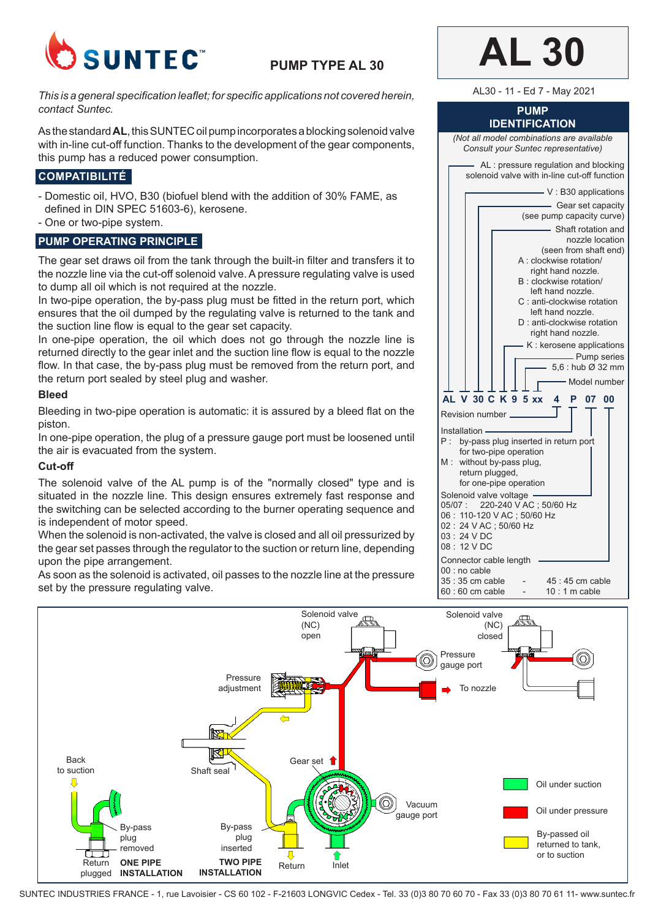

# **PUMP TYPE AL 30**

*This is a general specification leaflet; for specific applications not covered herein, contact Suntec.*

As the standard **AL**, this SUNTEC oil pump incorporates a blocking solenoid valve with in-line cut-off function. Thanks to the development of the gear components, this pump has a reduced power consumption.

# **COMPATIBILITÉ**

- Domestic oil, HVO, B30 (biofuel blend with the addition of 30% FAME, as defined in DIN SPEC 51603-6), kerosene.
- One or two-pipe system.

## **PUMP OPERATING PRINCIPLE**

The gear set draws oil from the tank through the built-in filter and transfers it to the nozzle line via the cut-off solenoid valve. A pressure regulating valve is used to dump all oil which is not required at the nozzle.

In two-pipe operation, the by-pass plug must be fitted in the return port, which ensures that the oil dumped by the regulating valve is returned to the tank and the suction line flow is equal to the gear set capacity.

In one-pipe operation, the oil which does not go through the nozzle line is returned directly to the gear inlet and the suction line flow is equal to the nozzle flow. In that case, the by-pass plug must be removed from the return port, and the return port sealed by steel plug and washer.

#### **Bleed**

Bleeding in two-pipe operation is automatic: it is assured by a bleed flat on the piston.

In one-pipe operation, the plug of a pressure gauge port must be loosened until the air is evacuated from the system.

#### **Cut-off**

The solenoid valve of the AL pump is of the "normally closed" type and is situated in the nozzle line. This design ensures extremely fast response and the switching can be selected according to the burner operating sequence and is independent of motor speed.

When the solenoid is non-activated, the valve is closed and all oil pressurized by the gear set passes through the regulator to the suction or return line, depending upon the pipe arrangement.

As soon as the solenoid is activated, oil passes to the nozzle line at the pressure set by the pressure regulating valve.



AL30 - 11 - Ed 7 - May 2021

#### **PUMP IDENTIFICATION**

*(Not all model combinations are available Consult your Suntec representative)*





SUNTEC INDUSTRIES FRANCE - 1, rue Lavoisier - CS 60 102 - F-21603 LONGVIC Cedex - Tel. 33 (0)3 80 70 60 70 - Fax 33 (0)3 80 70 61 11- www.suntec.fr